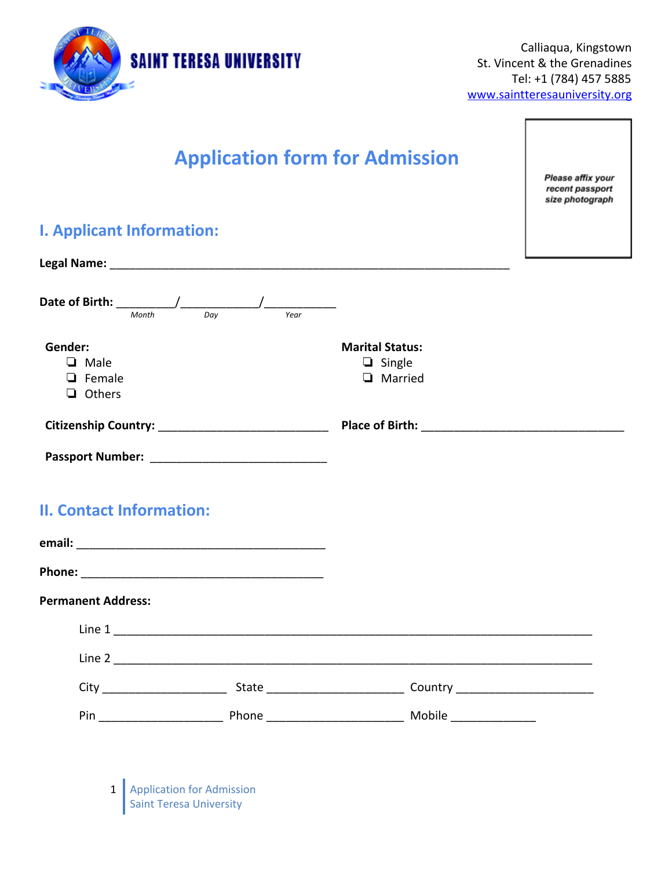

r

| <b>Application form for Admission</b>                      |  |                                                                                                                                                                                                                                     | Please affix your<br>recent passport<br>size photograph |
|------------------------------------------------------------|--|-------------------------------------------------------------------------------------------------------------------------------------------------------------------------------------------------------------------------------------|---------------------------------------------------------|
| <b>I. Applicant Information:</b>                           |  |                                                                                                                                                                                                                                     |                                                         |
|                                                            |  |                                                                                                                                                                                                                                     |                                                         |
| Date of Birth: $\frac{1}{\frac{Month}{Day}}$               |  |                                                                                                                                                                                                                                     |                                                         |
| Gender:<br><b>Q</b> Male<br>$\Box$ Female<br>$\Box$ Others |  | <b>Marital Status:</b><br>$\Box$ Single<br><b>Q</b> Married                                                                                                                                                                         |                                                         |
|                                                            |  | <b>Place of Birth:</b> The contract of the contract of the contract of the contract of the contract of the contract of the contract of the contract of the contract of the contract of the contract of the contract of the contract |                                                         |
|                                                            |  |                                                                                                                                                                                                                                     |                                                         |
| <b>II. Contact Information:</b>                            |  |                                                                                                                                                                                                                                     |                                                         |
|                                                            |  |                                                                                                                                                                                                                                     |                                                         |
| <b>Permanent Address:</b>                                  |  |                                                                                                                                                                                                                                     |                                                         |
|                                                            |  |                                                                                                                                                                                                                                     |                                                         |
|                                                            |  |                                                                                                                                                                                                                                     |                                                         |
|                                                            |  |                                                                                                                                                                                                                                     |                                                         |
|                                                            |  |                                                                                                                                                                                                                                     |                                                         |
|                                                            |  |                                                                                                                                                                                                                                     |                                                         |

1 | Application for Admission Saint Teresa University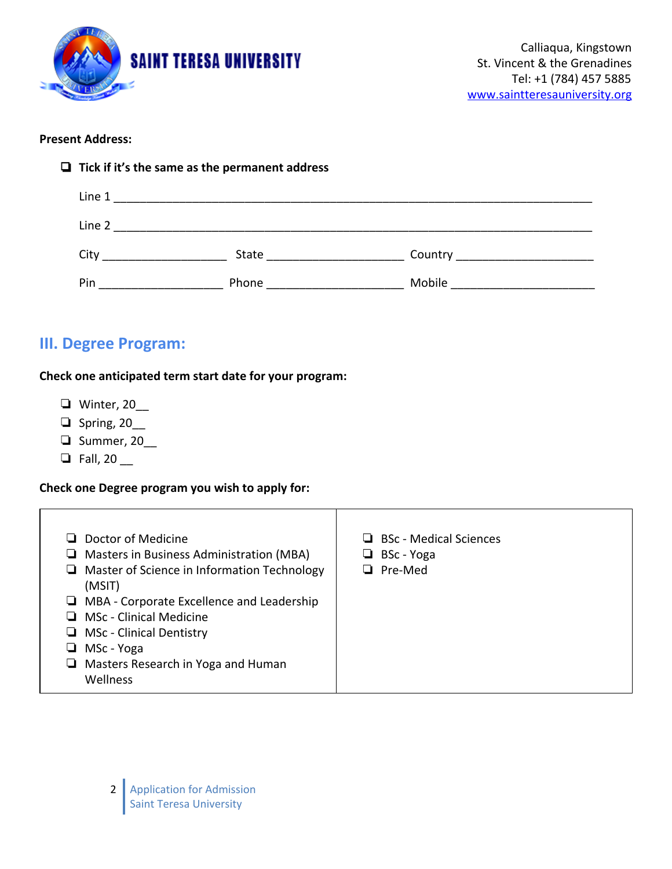

## **Present Address:**

| $\Box$ Tick if it's the same as the permanent address |                                |                                   |  |  |
|-------------------------------------------------------|--------------------------------|-----------------------------------|--|--|
|                                                       |                                |                                   |  |  |
|                                                       |                                |                                   |  |  |
| City                                                  | State <u>___________</u>       | Country _________________________ |  |  |
| Pin                                                   | Phone <u>____________</u> ____ | Mobile _____________________      |  |  |

## **III. Degree Program:**

## **Check one anticipated term start date for your program:**

- ❏ Winter, 20\_\_
- ❏ Spring, 20\_\_
- ❏ Summer, 20\_\_
- $\Box$  Fall, 20  $\_\_$

## **Check one Degree program you wish to apply for:**

| Doctor of Medicine<br>Masters in Business Administration (MBA)<br>$\Box$ Master of Science in Information Technology<br>(MSIT)<br>$\Box$ MBA - Corporate Excellence and Leadership<br>$\Box$ MSc - Clinical Medicine<br>$\Box$ MSc - Clinical Dentistry<br>MSc - Yoga<br>Masters Research in Yoga and Human<br>┙<br>Wellness | <b>BSc</b> - Medical Sciences<br>BSc - Yoga<br>┙<br>Pre-Med |
|------------------------------------------------------------------------------------------------------------------------------------------------------------------------------------------------------------------------------------------------------------------------------------------------------------------------------|-------------------------------------------------------------|
|------------------------------------------------------------------------------------------------------------------------------------------------------------------------------------------------------------------------------------------------------------------------------------------------------------------------------|-------------------------------------------------------------|